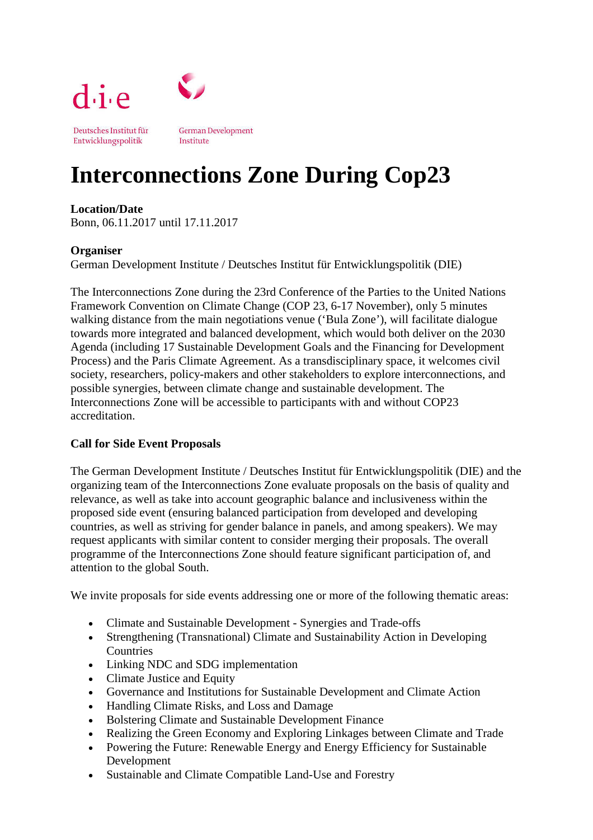

# **Interconnections Zone During Cop23**

### **Location/Date**

Bonn, 06.11.2017 until 17.11.2017

### **Organiser**

German Development Institute / Deutsches Institut für Entwicklungspolitik (DIE)

The Interconnections Zone during the 23rd Conference of the Parties to the United Nations Framework Convention on Climate Change (COP 23, 6-17 November), only 5 minutes walking distance from the main negotiations venue ('Bula Zone'), will facilitate dialogue towards more integrated and balanced development, which would both deliver on the 2030 Agenda (including 17 Sustainable Development Goals and the Financing for Development Process) and the Paris Climate Agreement. As a transdisciplinary space, it welcomes civil society, researchers, policy-makers and other stakeholders to explore interconnections, and possible synergies, between climate change and sustainable development. The Interconnections Zone will be accessible to participants with and without COP23 accreditation.

# **Call for Side Event Proposals**

The German Development Institute / Deutsches Institut für Entwicklungspolitik (DIE) and the organizing team of the Interconnections Zone evaluate proposals on the basis of quality and relevance, as well as take into account geographic balance and inclusiveness within the proposed side event (ensuring balanced participation from developed and developing countries, as well as striving for gender balance in panels, and among speakers). We may request applicants with similar content to consider merging their proposals. The overall programme of the Interconnections Zone should feature significant participation of, and attention to the global South.

We invite proposals for side events addressing one or more of the following thematic areas:

- Climate and Sustainable Development Synergies and Trade-offs
- Strengthening (Transnational) Climate and Sustainability Action in Developing Countries
- Linking NDC and SDG implementation
- Climate Justice and Equity
- Governance and Institutions for Sustainable Development and Climate Action
- Handling Climate Risks, and Loss and Damage
- Bolstering Climate and Sustainable Development Finance
- Realizing the Green Economy and Exploring Linkages between Climate and Trade
- Powering the Future: Renewable Energy and Energy Efficiency for Sustainable Development
- Sustainable and Climate Compatible Land-Use and Forestry